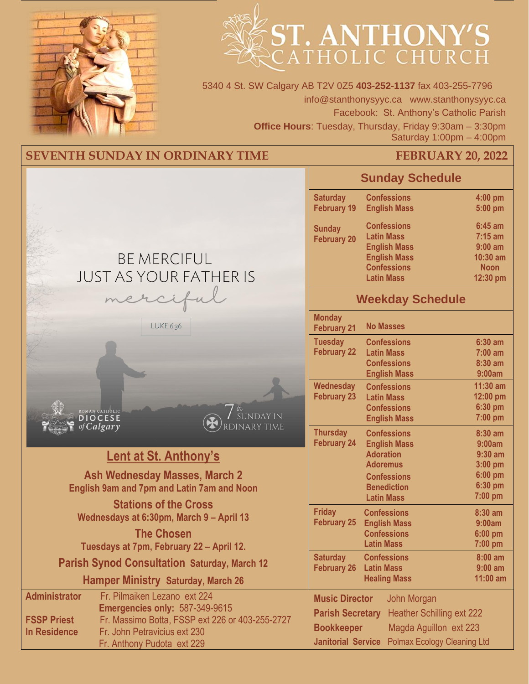



5340 4 St. SW Calgary AB T2V 0Z5 **403-252-1137** fax 403-255-7796 info@stanthonysyyc.ca www.stanthonysyyc.ca Facebook: St. Anthony's Catholic Parish **Office Hours**: Tuesday, Thursday, Friday 9:30am – 3:30pm Saturday 1:00pm – 4:00pm

# **SEVENTH SUNDAY IN ORDINARY TIME FEBRUARY 20, 2022**

|                                                                                                                                                                                                                                                      | <b>Sunday Schedule</b>                                                                                                                                                                                                                                |
|------------------------------------------------------------------------------------------------------------------------------------------------------------------------------------------------------------------------------------------------------|-------------------------------------------------------------------------------------------------------------------------------------------------------------------------------------------------------------------------------------------------------|
|                                                                                                                                                                                                                                                      | <b>Confessions</b><br><b>Saturday</b><br>4:00 pm<br><b>February 19</b><br><b>English Mass</b><br>5:00 pm                                                                                                                                              |
| <b>BE MERCIFUL</b><br><b>JUST AS YOUR FATHER IS</b>                                                                                                                                                                                                  | <b>Confessions</b><br>$6:45$ am<br><b>Sunday</b><br><b>Latin Mass</b><br>$7:15$ am<br><b>February 20</b><br><b>English Mass</b><br>$9:00$ am<br><b>English Mass</b><br>10:30 am<br><b>Confessions</b><br><b>Noon</b><br><b>Latin Mass</b><br>12:30 pm |
| merciful                                                                                                                                                                                                                                             | <b>Weekday Schedule</b>                                                                                                                                                                                                                               |
| LUKE 6:36                                                                                                                                                                                                                                            | <b>Monday</b><br><b>No Masses</b><br><b>February 21</b>                                                                                                                                                                                               |
|                                                                                                                                                                                                                                                      | <b>Tuesday</b><br><b>Confessions</b><br>$6:30$ am<br><b>February 22</b><br><b>Latin Mass</b><br>$7:00$ am<br><b>Confessions</b><br>8:30 am<br><b>English Mass</b><br>9:00am                                                                           |
| ROMAN CATHOLIC<br>SUNDAY IN<br><b>DIOCESE</b>                                                                                                                                                                                                        | Wednesday<br>11:30 am<br><b>Confessions</b><br><b>February 23</b><br>12:00 pm<br><b>Latin Mass</b><br>6:30 pm<br><b>Confessions</b><br>7:00 pm<br><b>English Mass</b>                                                                                 |
| RDINARY TIME<br>of Calgary                                                                                                                                                                                                                           | <b>Thursday</b><br><b>Confessions</b><br>8:30 am<br><b>February 24</b><br><b>English Mass</b><br>9:00am                                                                                                                                               |
| <b>Lent at St. Anthony's</b>                                                                                                                                                                                                                         | <b>Adoration</b><br>$9:30$ am<br><b>Adoremus</b><br>3:00 pm                                                                                                                                                                                           |
| <b>Ash Wednesday Masses, March 2</b><br><b>English 9am and 7pm and Latin 7am and Noon</b>                                                                                                                                                            | 6:00 pm<br><b>Confessions</b><br>6:30 pm<br><b>Benediction</b><br>$7:00$ pm<br><b>Latin Mass</b>                                                                                                                                                      |
| <b>Stations of the Cross</b><br>Wednesdays at 6:30pm, March 9 - April 13<br><b>The Chosen</b>                                                                                                                                                        | <b>Friday</b><br>8:30 am<br><b>Confessions</b><br><b>February 25</b><br><b>English Mass</b><br>9:00am<br><b>Confessions</b><br>6:00 pm                                                                                                                |
| Tuesdays at 7pm, February 22 - April 12.                                                                                                                                                                                                             | <b>Latin Mass</b><br>$7:00$ pm                                                                                                                                                                                                                        |
| <b>Parish Synod Consultation Saturday, March 12</b><br><b>Hamper Ministry Saturday, March 26</b>                                                                                                                                                     | <b>Saturday</b><br><b>Confessions</b><br>8:00 am<br><b>February 26</b><br><b>Latin Mass</b><br>$9:00$ am<br><b>Healing Mass</b><br>11:00 am                                                                                                           |
| Fr. Pilmaiken Lezano ext 224<br><b>Administrator</b><br>Emergencies only: 587-349-9615<br>Fr. Massimo Botta, FSSP ext 226 or 403-255-2727<br><b>FSSP Priest</b><br>Fr. John Petravicius ext 230<br><b>In Residence</b><br>Fr. Anthony Pudota ext 229 | <b>Music Director</b><br>John Morgan<br><b>Parish Secretary</b><br><b>Heather Schilling ext 222</b><br>Magda Aguillon ext 223<br><b>Bookkeeper</b><br><b>Janitorial Service</b> Polmax Ecology Cleaning Ltd                                           |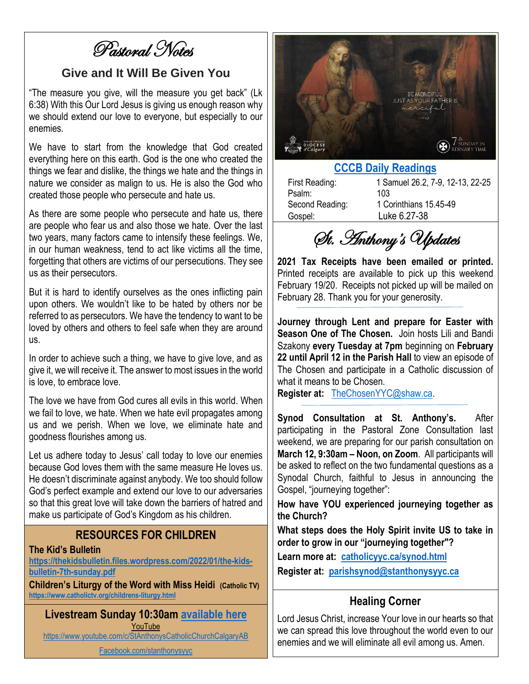Pastoral Notes

#### **Give and It Will Be Given You**

"The measure you give, will the measure you get back" (Lk 6:38) With this Our Lord Jesus is giving us enough reason why we should extend our love to everyone, but especially to our enemies.

We have to start from the knowledge that God created everything here on this earth. God is the one who created the things we fear and dislike, the things we hate and the things in nature we consider as malign to us. He is also the God who created those people who persecute and hate us.

As there are some people who persecute and hate us, there are people who fear us and also those we hate. Over the last two years, many factors came to intensify these feelings. We, in our human weakness, tend to act like victims all the time, forgetting that others are victims of our persecutions. They see us as their persecutors.

But it is hard to identify ourselves as the ones inflicting pain upon others. We wouldn't like to be hated by others nor be referred to as persecutors. We have the tendency to want to be loved by others and others to feel safe when they are around us.

In order to achieve such a thing, we have to give love, and as give it, we will receive it. The answer to most issues in the world is love, to embrace love.

The love we have from God cures all evils in this world. When we fail to love, we hate. When we hate evil propagates among us and we perish. When we love, we eliminate hate and goodness flourishes among us.

Let us adhere today to Jesus' call today to love our enemies because God loves them with the same measure He loves us. He doesn't discriminate against anybody. We too should follow God's perfect example and extend our love to our adversaries so that this great love will take down the barriers of hatred and make us participate of God's Kingdom as his children.

#### **RESOURCES FOR CHILDREN**

#### **The Kid's Bulletin**

**[https://thekidsbulletin.files.wordpress.com/2022/01/the-kids](https://thekidsbulletin.files.wordpress.com/2022/01/the-kids-bulletin-7th-sunday.pdf)[bulletin-7th-sunday.pdf](https://thekidsbulletin.files.wordpress.com/2022/01/the-kids-bulletin-7th-sunday.pdf)**

**Children's Liturgy of the Word with Miss Heidi (Catholic TV) <https://www.catholictv.org/childrens-liturgy.html>**

**Livestream Sunday 10:30am [available here](https://www.youtube.com/c/StAnthonysCatholicChurchCalgaryAB)** YouTube <https://www.youtube.com/c/StAnthonysCatholicChurchCalgaryAB>

[Facebook.com/stanthonysyyc](https://www.facebook.com/stanthonysyyc/)



### **[CCCB Daily Readings](http://ec2-34-245-7-114.eu-west-1.compute.amazonaws.com/daily-texts/reading/2022-02-20)**

| First Reading:  | 1 Samuel 26.2, 7-9, 12-13, 22-25 |
|-----------------|----------------------------------|
| Psalm:          | 103                              |
| Second Reading: | 1 Corinthians 15.45-49           |
| Gospel:         | Luke 6.27-38                     |

St. Anthony's Updates

**2021 Tax Receipts have been emailed or printed.**  Printed receipts are available to pick up this weekend February 19/20. Receipts not picked up will be mailed on February 28. Thank you for your generosity.

**Journey through Lent and prepare for Easter with Season One of The Chosen.** Join hosts Lili and Bandi Szakony **every Tuesday at 7pm** beginning on **February 22 until April 12 in the Parish Hall** to view an episode of The Chosen and participate in a Catholic discussion of what it means to be Chosen.

**Register at:** [TheChosenYYC@shaw.ca.](mailto:TheChosenYYC@shaw.ca)

**Synod Consultation at St. Anthony's.** After participating in the Pastoral Zone Consultation last weekend, we are preparing for our parish consultation on **March 12, 9:30am – Noon, on Zoom**. All participants will be asked to reflect on the two fundamental questions as a Synodal Church, faithful to Jesus in announcing the Gospel, "journeying together":

**How have YOU experienced journeying together as the Church?**

**What steps does the Holy Spirit invite US to take in order to grow in our "journeying together"?**

**Learn more at: [catholicyyc.ca/synod.html](https://www.catholicyyc.ca/synod.html) Register at: [parishsynod@stanthonysyyc.ca](mailto:parishsynod@stanthonysyyc.ca)**

### **Healing Corner**

Lord Jesus Christ, increase Your love in our hearts so that we can spread this love throughout the world even to our enemies and we will eliminate all evil among us. Amen.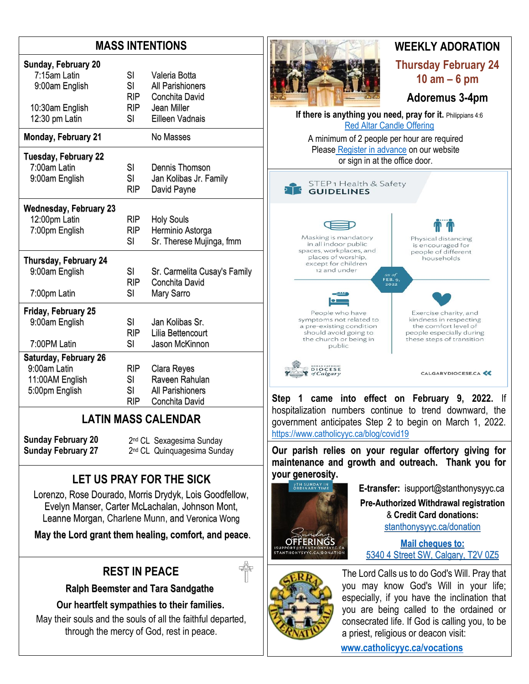## **MASS INTENTIONS**

| Sunday, February 20           | SI         | Valeria Botta                |
|-------------------------------|------------|------------------------------|
| 7:15am Latin                  | SI         | <b>All Parishioners</b>      |
| 9:00am English                | <b>RIP</b> | Conchita David               |
| 10:30am English               | RIP.       | Jean Miller                  |
| 12:30 pm Latin                | SI         | Eilleen Vadnais              |
| <b>Monday, February 21</b>    |            | No Masses                    |
| <b>Tuesday, February 22</b>   | SI         | Dennis Thomson               |
| 7:00am Latin                  | SI         | Jan Kolibas Jr. Family       |
| 9:00am English                | <b>RIP</b> | David Payne                  |
| <b>Wednesday, February 23</b> | RIP.       | <b>Holy Souls</b>            |
| 12:00pm Latin                 | RIP        | Herminio Astorga             |
| 7:00pm English                | SI         | Sr. Therese Mujinga, fmm     |
| Thursday, February 24         | SI         | Sr. Carmelita Cusay's Family |
| 9:00am English                | <b>RIP</b> | Conchita David               |
| 7:00pm Latin                  | SI         | Mary Sarro                   |
| Friday, February 25           | <b>SI</b>  | Jan Kolibas Sr.              |
| 9:00am English                | <b>RIP</b> | Lilia Bettencourt            |
| 7:00PM Latin                  | SI         | Jason McKinnon               |
| Saturday, February 26         | <b>RIP</b> | Clara Reyes                  |
| 9:00am Latin                  | SI         | Raveen Rahulan               |
| 11:00AM English               | SI         | All Parishioners             |
| 5:00pm English                | RIP        | Conchita David               |

# **LATIN MASS CALENDAR**

**Sunday February 20 Sunday February 27** 2<sup>nd</sup> CL Sexagesima Sunday 2<sup>nd</sup> CL Quinquagesima Sunday

# **LET US PRAY FOR THE SICK**

Lorenzo, Rose Dourado, Morris Drydyk, Lois Goodfellow, Evelyn Manser, Carter McLachalan, Johnson Mont, Leanne Morgan, Charlene Munn, and Veronica Wong

**May the Lord grant them healing, comfort, and peace**.

# **REST IN PEACE**

 **Ralph Beemster and Tara Sandgathe**

**Our heartfelt sympathies to their families.**

May their souls and the souls of all the faithful departed, through the mercy of God, rest in peace.



**Step 1 came into effect on February 9, 2022.** If hospitalization numbers continue to trend downward, the government anticipates Step 2 to begin on March 1, 2022. <https://www.catholicyyc.ca/blog/covid19>

**Our parish relies on your regular offertory giving for maintenance and growth and outreach. Thank you for your generosity.** 



**E-transfer:** isupport@stanthonysyyc.ca **Pre-Authorized Withdrawal registration**  & **Credit Card donations:** [stanthonysyyc.ca/donation](https://stanthonysyyc.ca/donation/)

**Mail cheques to:** 5340 4 Street SW, Calgary, T2V 0Z5



The Lord Calls us to do God's Will. Pray that you may know God's Will in your life; especially, if you have the inclination that you are being called to the ordained or consecrated life. If God is calling you, to be a priest, religious or deacon visit:

 **[www.catholicyyc.ca/vocations](http://www.catholicyyc.ca/vocations)**